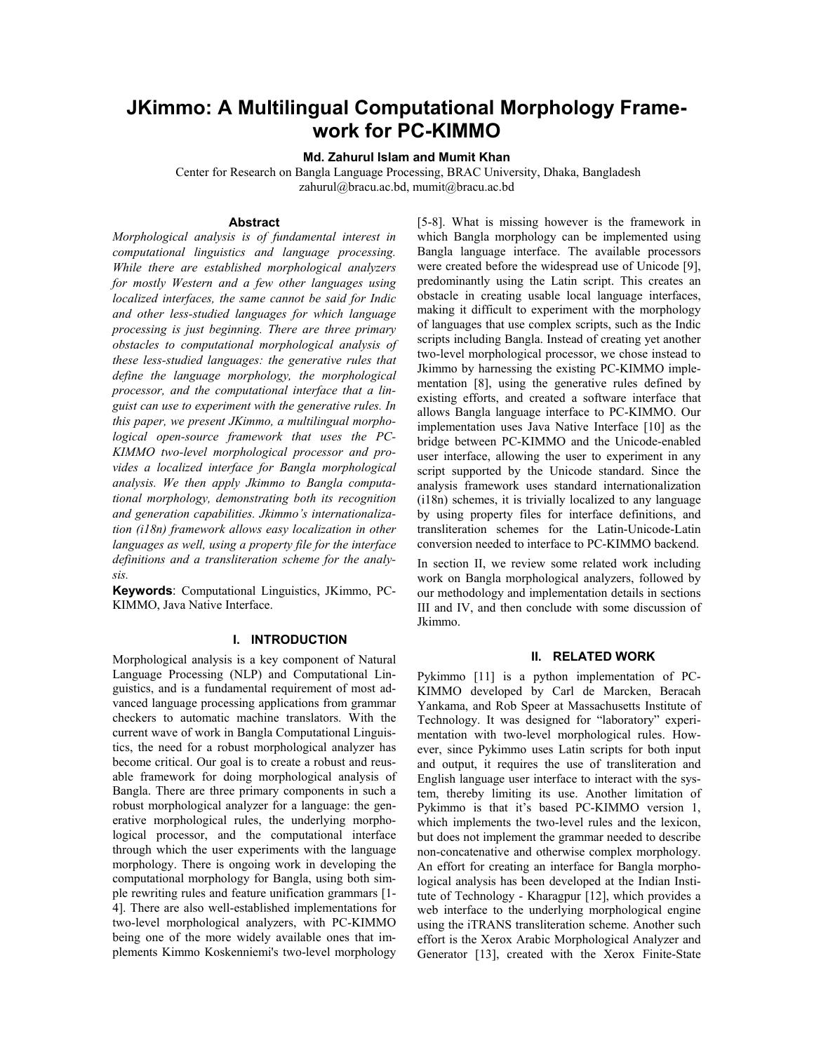# **JKimmo: A Multilingual Computational Morphology Framework for PC-KIMMO**

## **Md. Zahurul Islam and Mumit Khan**

 Center for Research on Bangla Language Processing, BRAC University, Dhaka, Bangladesh zahurul@bracu.ac.bd, mumit@bracu.ac.bd

#### **Abstract**

*Morphological analysis is of fundamental interest in computational linguistics and language processing. While there are established morphological analyzers for mostly Western and a few other languages using localized interfaces, the same cannot be said for Indic and other less-studied languages for which language processing is just beginning. There are three primary obstacles to computational morphological analysis of these less-studied languages: the generative rules that define the language morphology, the morphological processor, and the computational interface that a linguist can use to experiment with the generative rules. In this paper, we present JKimmo, a multilingual morphological open-source framework that uses the PC-KIMMO two-level morphological processor and provides a localized interface for Bangla morphological analysis. We then apply Jkimmo to Bangla computational morphology, demonstrating both its recognition and generation capabilities. Jkimmo's internationalization (i18n) framework allows easy localization in other languages as well, using a property file for the interface definitions and a transliteration scheme for the analysis.* 

**Keywords**: Computational Linguistics, JKimmo, PC-KIMMO, Java Native Interface.

#### **I. INTRODUCTION**

Morphological analysis is a key component of Natural Language Processing (NLP) and Computational Linguistics, and is a fundamental requirement of most advanced language processing applications from grammar checkers to automatic machine translators. With the current wave of work in Bangla Computational Linguistics, the need for a robust morphological analyzer has become critical. Our goal is to create a robust and reusable framework for doing morphological analysis of Bangla. There are three primary components in such a robust morphological analyzer for a language: the generative morphological rules, the underlying morphological processor, and the computational interface through which the user experiments with the language morphology. There is ongoing work in developing the computational morphology for Bangla, using both simple rewriting rules and feature unification grammars [1- 4]. There are also well-established implementations for two-level morphological analyzers, with PC-KIMMO being one of the more widely available ones that implements Kimmo Koskenniemi's two-level morphology

[5-8]. What is missing however is the framework in which Bangla morphology can be implemented using Bangla language interface. The available processors were created before the widespread use of Unicode [9], predominantly using the Latin script. This creates an obstacle in creating usable local language interfaces, making it difficult to experiment with the morphology of languages that use complex scripts, such as the Indic scripts including Bangla. Instead of creating yet another two-level morphological processor, we chose instead to Jkimmo by harnessing the existing PC-KIMMO implementation [8], using the generative rules defined by existing efforts, and created a software interface that allows Bangla language interface to PC-KIMMO. Our implementation uses Java Native Interface [10] as the bridge between PC-KIMMO and the Unicode-enabled user interface, allowing the user to experiment in any script supported by the Unicode standard. Since the analysis framework uses standard internationalization (i18n) schemes, it is trivially localized to any language by using property files for interface definitions, and transliteration schemes for the Latin-Unicode-Latin conversion needed to interface to PC-KIMMO backend.

In section II, we review some related work including work on Bangla morphological analyzers, followed by our methodology and implementation details in sections III and IV, and then conclude with some discussion of Jkimmo.

## **II. RELATED WORK**

Pykimmo [11] is a python implementation of PC-KIMMO developed by Carl de Marcken, Beracah Yankama, and Rob Speer at Massachusetts Institute of Technology. It was designed for "laboratory" experimentation with two-level morphological rules. However, since Pykimmo uses Latin scripts for both input and output, it requires the use of transliteration and English language user interface to interact with the system, thereby limiting its use. Another limitation of Pykimmo is that it's based PC-KIMMO version 1, which implements the two-level rules and the lexicon, but does not implement the grammar needed to describe non-concatenative and otherwise complex morphology. An effort for creating an interface for Bangla morphological analysis has been developed at the Indian Institute of Technology - Kharagpur [12], which provides a web interface to the underlying morphological engine using the iTRANS transliteration scheme. Another such effort is the Xerox Arabic Morphological Analyzer and Generator [13], created with the Xerox Finite-State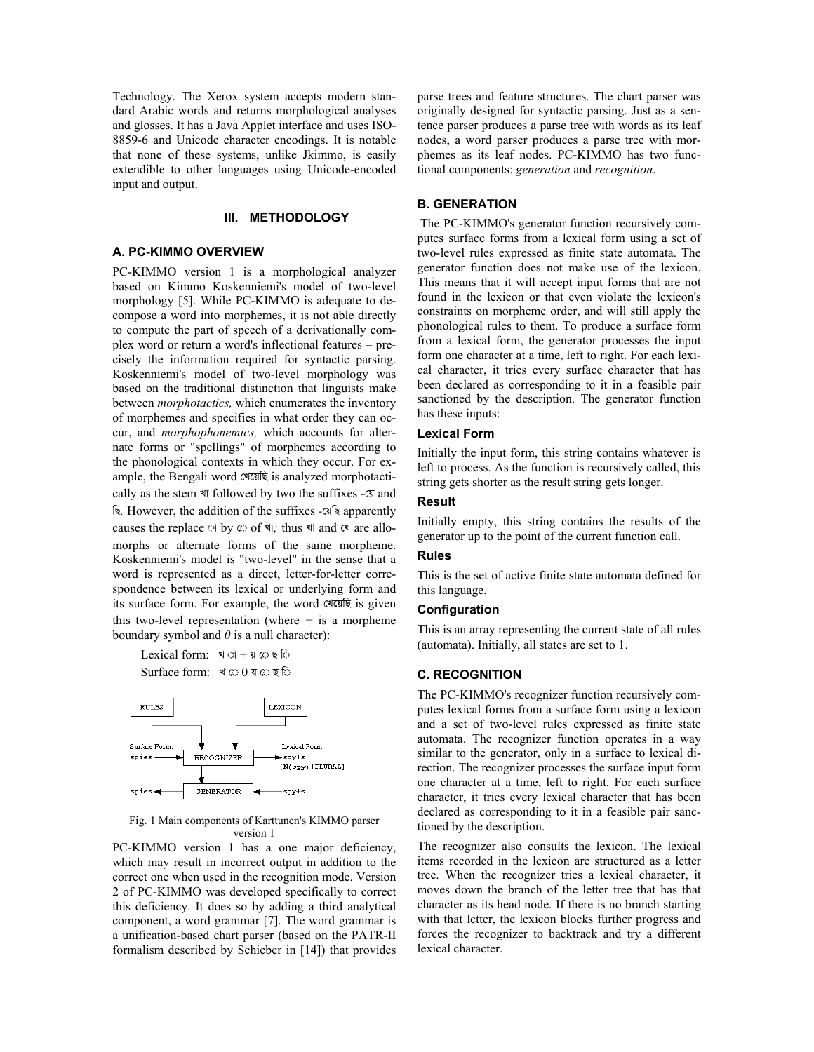Technology. The Xerox system accepts modern standard Arabic words and returns morphological analyses and glosses. It has a Java Applet interface and uses ISO-8859-6 and Unicode character encodings. It is notable that none of these systems, unlike Jkimmo, is easily extendible to other languages using Unicode-encoded input and output.

#### **III. METHODOLOGY**

## **A. PC-KIMMO OVERVIEW**

PC-KIMMO version 1 is a morphological analyzer based on Kimmo Koskenniemi's model of two-level morphology [5]. While PC-KIMMO is adequate to decompose a word into morphemes, it is not able directly to compute the part of speech of a derivationally complex word or return a word's inflectional features – precisely the information required for syntactic parsing. Koskenniemi's model of two-level morphology was based on the traditional distinction that linguists make between *morphotactics,* which enumerates the inventory of morphemes and specifies in what order they can occur, and *morphophonemics,* which accounts for alternate forms or "spellings" of morphemes according to the phonological contexts in which they occur. For example, the Bengali word েখেয়িছ is analyzed morphotactically as the stem খা followed by two the suffixes -েয় and িছ*.* However, the addition of the suffixes *-*েয়িছ apparently causes the replace ◌া by ে◌ of খা*;* thus খা and েখ are allomorphs or alternate forms of the same morpheme. Koskenniemi's model is "two-level" in the sense that a word is represented as a direct, letter-for-letter correspondence between its lexical or underlying form and its surface form. For example, the word েখেয়িছ is given this two-level representation (where *+* is a morpheme boundary symbol and *0* is a null character):

> Lexical form: খ $\circ$ া + য় েছ ি Surface form: খ $\infty$  0 য় েছ ি



Fig. 1 Main components of Karttunen's KIMMO parser version 1

PC-KIMMO version 1 has a one major deficiency, which may result in incorrect output in addition to the correct one when used in the recognition mode. Version 2 of PC-KIMMO was developed specifically to correct this deficiency. It does so by adding a third analytical component, a word grammar [7]. The word grammar is a unification-based chart parser (based on the PATR-II formalism described by Schieber in [14]) that provides

parse trees and feature structures. The chart parser was originally designed for syntactic parsing. Just as a sentence parser produces a parse tree with words as its leaf nodes, a word parser produces a parse tree with morphemes as its leaf nodes. PC-KIMMO has two functional components: *generation* and *recognition*.

## **B. GENERATION**

The PC-KIMMO's generator function recursively computes surface forms from a lexical form using a set of two-level rules expressed as finite state automata. The generator function does not make use of the lexicon. This means that it will accept input forms that are not found in the lexicon or that even violate the lexicon's constraints on morpheme order, and will still apply the phonological rules to them. To produce a surface form from a lexical form, the generator processes the input form one character at a time, left to right. For each lexical character, it tries every surface character that has been declared as corresponding to it in a feasible pair sanctioned by the description. The generator function has these inputs:

# **Lexical Form**

Initially the input form, this string contains whatever is left to process. As the function is recursively called, this string gets shorter as the result string gets longer.

## **Result**

Initially empty, this string contains the results of the generator up to the point of the current function call.

# **Rules**

This is the set of active finite state automata defined for this language.

## **Configuration**

This is an array representing the current state of all rules (automata). Initially, all states are set to 1.

#### **C. RECOGNITION**

The PC-KIMMO's recognizer function recursively computes lexical forms from a surface form using a lexicon and a set of two-level rules expressed as finite state automata. The recognizer function operates in a way similar to the generator, only in a surface to lexical direction. The recognizer processes the surface input form one character at a time, left to right. For each surface character, it tries every lexical character that has been declared as corresponding to it in a feasible pair sanctioned by the description.

The recognizer also consults the lexicon. The lexical items recorded in the lexicon are structured as a letter tree. When the recognizer tries a lexical character, it moves down the branch of the letter tree that has that character as its head node. If there is no branch starting with that letter, the lexicon blocks further progress and forces the recognizer to backtrack and try a different lexical character.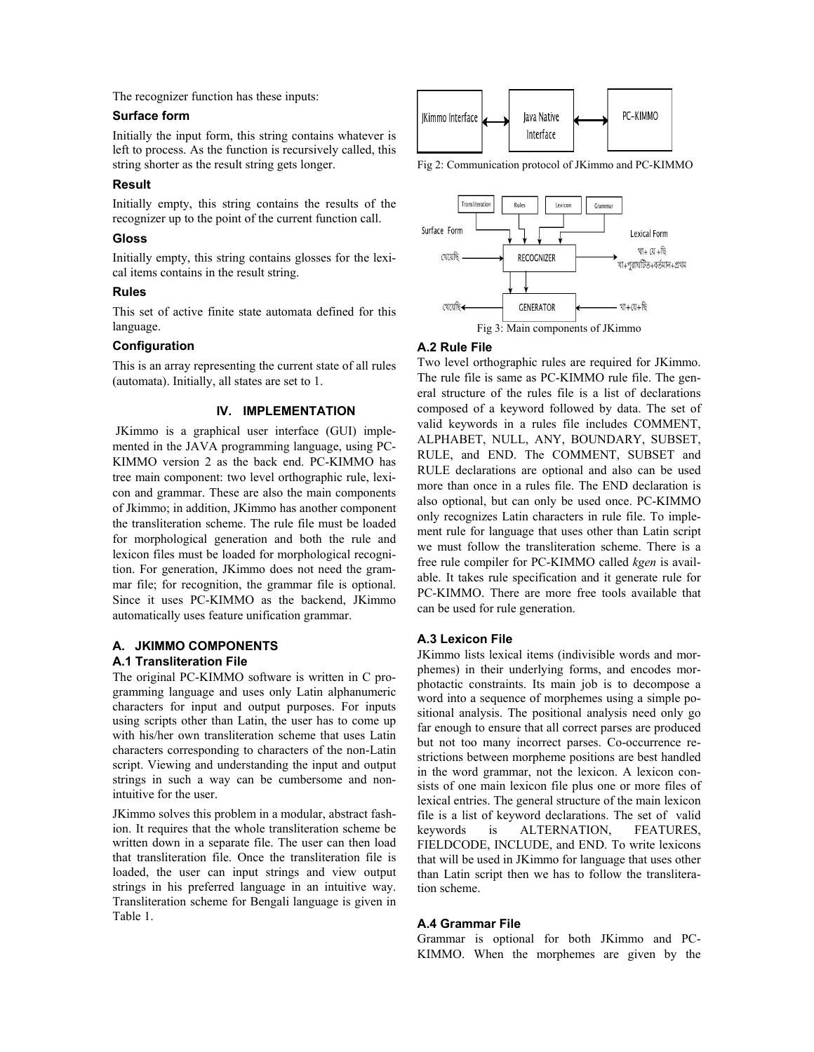The recognizer function has these inputs:

## **Surface form**

Initially the input form, this string contains whatever is left to process. As the function is recursively called, this string shorter as the result string gets longer.

# **Result**

Initially empty, this string contains the results of the recognizer up to the point of the current function call.

# **Gloss**

Initially empty, this string contains glosses for the lexical items contains in the result string.

# **Rules**

This set of active finite state automata defined for this language.

# **Configuration**

This is an array representing the current state of all rules (automata). Initially, all states are set to 1.

## **IV. IMPLEMENTATION**

 JKimmo is a graphical user interface (GUI) implemented in the JAVA programming language, using PC-KIMMO version 2 as the back end. PC-KIMMO has tree main component: two level orthographic rule, lexicon and grammar. These are also the main components of Jkimmo; in addition, JKimmo has another component the transliteration scheme. The rule file must be loaded for morphological generation and both the rule and lexicon files must be loaded for morphological recognition. For generation, JKimmo does not need the grammar file; for recognition, the grammar file is optional. Since it uses PC-KIMMO as the backend, JKimmo automatically uses feature unification grammar.

# **A. JKIMMO COMPONENTS A.1 Transliteration File**

The original PC-KIMMO software is written in C programming language and uses only Latin alphanumeric characters for input and output purposes. For inputs using scripts other than Latin, the user has to come up with his/her own transliteration scheme that uses Latin characters corresponding to characters of the non-Latin script. Viewing and understanding the input and output strings in such a way can be cumbersome and nonintuitive for the user.

JKimmo solves this problem in a modular, abstract fashion. It requires that the whole transliteration scheme be written down in a separate file. The user can then load that transliteration file. Once the transliteration file is loaded, the user can input strings and view output strings in his preferred language in an intuitive way. Transliteration scheme for Bengali language is given in Table 1.



Fig 2: Communication protocol of JKimmo and PC-KIMMO



#### **A.2 Rule File**

Two level orthographic rules are required for JKimmo. The rule file is same as PC-KIMMO rule file. The general structure of the rules file is a list of declarations composed of a keyword followed by data. The set of valid keywords in a rules file includes COMMENT, ALPHABET, NULL, ANY, BOUNDARY, SUBSET, RULE, and END. The COMMENT, SUBSET and RULE declarations are optional and also can be used more than once in a rules file. The END declaration is also optional, but can only be used once. PC-KIMMO only recognizes Latin characters in rule file. To implement rule for language that uses other than Latin script we must follow the transliteration scheme. There is a free rule compiler for PC-KIMMO called *kgen* is available. It takes rule specification and it generate rule for PC-KIMMO. There are more free tools available that can be used for rule generation.

## **A.3 Lexicon File**

JKimmo lists lexical items (indivisible words and morphemes) in their underlying forms, and encodes morphotactic constraints. Its main job is to decompose a word into a sequence of morphemes using a simple positional analysis. The positional analysis need only go far enough to ensure that all correct parses are produced but not too many incorrect parses. Co-occurrence restrictions between morpheme positions are best handled in the word grammar, not the lexicon. A lexicon consists of one main lexicon file plus one or more files of lexical entries. The general structure of the main lexicon file is a list of keyword declarations. The set of valid keywords is ALTERNATION, FEATURES, FIELDCODE, INCLUDE, and END. To write lexicons that will be used in JKimmo for language that uses other than Latin script then we has to follow the transliteration scheme.

### **A.4 Grammar File**

Grammar is optional for both JKimmo and PC-KIMMO. When the morphemes are given by the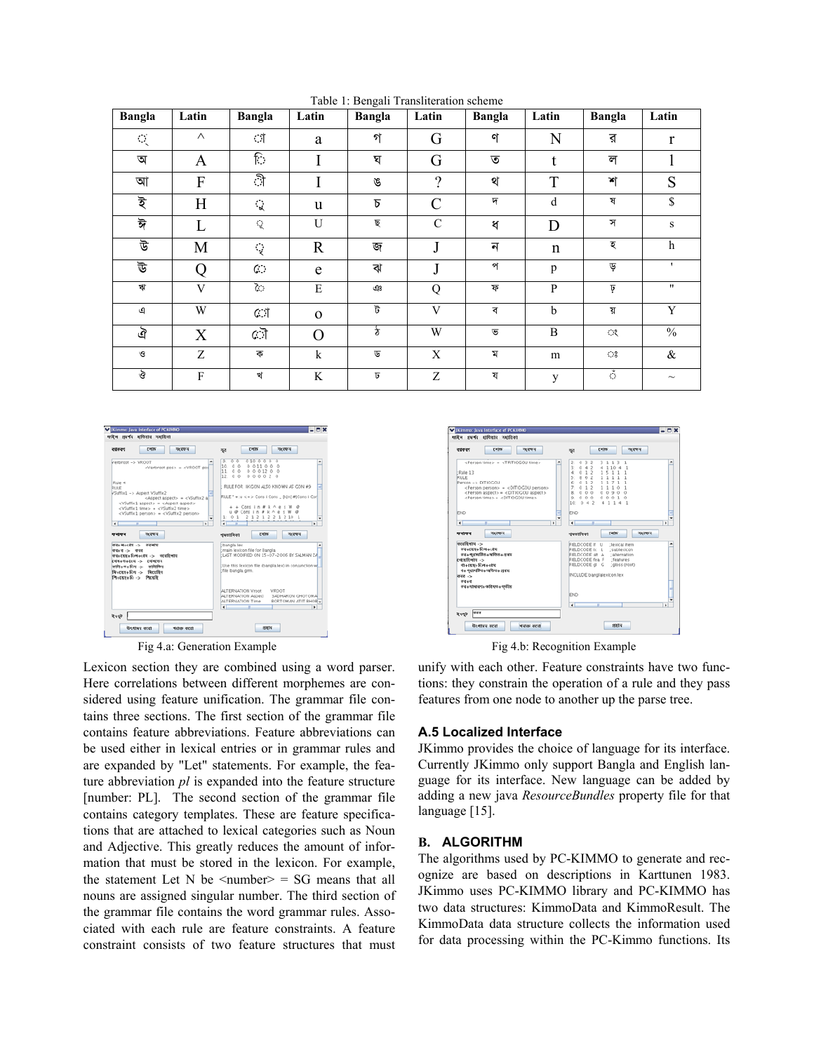| <b>Bangla</b> | Latin            | <b>Bangla</b>  | Latin          | <b>Bangla</b>           | Latin         | <b>Bangla</b> | Latin        | <b>Bangla</b>            | Latin                     |
|---------------|------------------|----------------|----------------|-------------------------|---------------|---------------|--------------|--------------------------|---------------------------|
| $\mathbb{Q}$  | $\wedge$         | ा              | a              | গ                       | G             | ণ             | N            | র                        | $\mathbf r$               |
| অ             | A                | ि              | I              | ঘ                       | G             | ত             | t            | ল                        |                           |
| আ             | $\overline{F}$   | ी              | I              | ঙ                       | $\gamma$      | থ             | T            | শ                        | S                         |
| খ             | H                | ्र             | u              | Б                       | $\mathcal{C}$ | দ             | d            | ষ                        | \$                        |
| ঈ             | L                | ू              | U              | ছ                       | $\mathcal{C}$ | ধ             | D            | স                        | S                         |
| উ             | M                | ्              | $\mathbb{R}$   | জ                       | J             | ন             | $\mathbf n$  | হ                        | $\mathbf h$               |
| T             | Q                | $G$ :          | e              | ঝ                       | J             | প             | p            | ড়                       | $\mathbf{r}$              |
| ঋ             | V                | ৈ              | E              | ঞ                       | Q             | ফ             | $\mathbf{P}$ | ঢ়                       | $\pmb{\mathsf{H}}$        |
| এ             | W                | $C \nparallel$ | $\Omega$       | ট                       | V             | ব             | b            | য়                       | Y                         |
| ঐ             | X                | ৌ              | $\overline{O}$ | र्ठ                     | W             | ভ             | B            | ং                        | $\frac{0}{0}$             |
| $\mathcal{O}$ | Z                | ক              | $\mathbf k$    | ড                       | X             | ম             | m            | $\mathbb{C}^{\circ}_{0}$ | &                         |
| Ó,            | $\boldsymbol{F}$ | খ              | K              | $\overline{\mathbf{b}}$ | Z             | য             | $\mathbf y$  | ँ                        | $\widetilde{\phantom{m}}$ |

Table 1: Bengali Transliteration scheme



Lexicon section they are combined using a word parser. Here correlations between different morphemes are considered using feature unification. The grammar file contains three sections. The first section of the grammar file contains feature abbreviations. Feature abbreviations can be used either in lexical entries or in grammar rules and are expanded by "Let" statements. For example, the feature abbreviation *pl* is expanded into the feature structure [number: PL]. The second section of the grammar file contains category templates. These are feature specifications that are attached to lexical categories such as Noun and Adjective. This greatly reduces the amount of information that must be stored in the lexicon. For example, the statement Let N be  $\leq$ number $>$  = SG means that all nouns are assigned singular number. The third section of the grammar file contains the word grammar rules. Associated with each rule are feature constraints. A feature constraint consists of two feature structures that must



Fig 4.a: Generation Example Fig 4.b: Recognition Example Fig 4.b: Recognition Example

unify with each other. Feature constraints have two functions: they constrain the operation of a rule and they pass features from one node to another up the parse tree.

## **A.5 Localized Interface**

JKimmo provides the choice of language for its interface. Currently JKimmo only support Bangla and English language for its interface. New language can be added by adding a new java *ResourceBundles* property file for that language [15].

# **B. ALGORITHM**

The algorithms used by PC-KIMMO to generate and recognize are based on descriptions in Karttunen 1983. JKimmo uses PC-KIMMO library and PC-KIMMO has two data structures: KimmoData and KimmoResult. The KimmoData data structure collects the information used for data processing within the PC-Kimmo functions. Its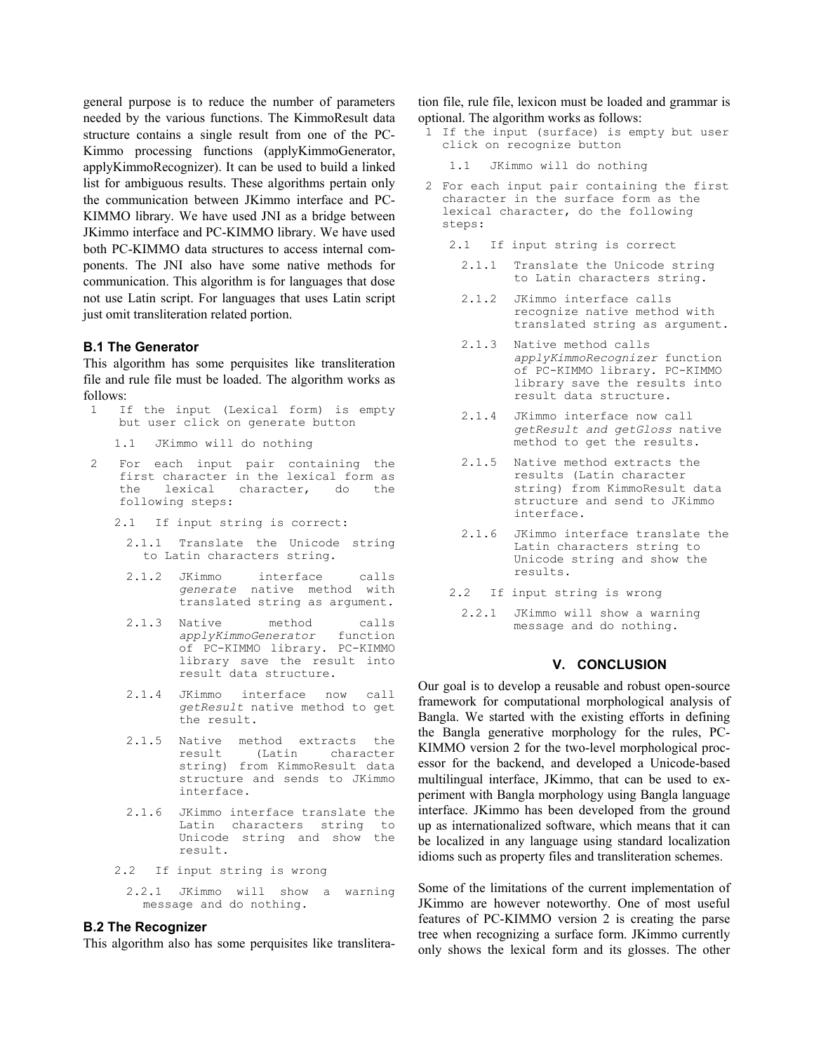general purpose is to reduce the number of parameters needed by the various functions. The KimmoResult data structure contains a single result from one of the PC-Kimmo processing functions (applyKimmoGenerator, applyKimmoRecognizer). It can be used to build a linked list for ambiguous results. These algorithms pertain only the communication between JKimmo interface and PC-KIMMO library. We have used JNI as a bridge between JKimmo interface and PC-KIMMO library. We have used both PC-KIMMO data structures to access internal components. The JNI also have some native methods for communication. This algorithm is for languages that dose not use Latin script. For languages that uses Latin script just omit transliteration related portion.

## **B.1 The Generator**

This algorithm has some perquisites like transliteration file and rule file must be loaded. The algorithm works as follows:

- 1 If the input (Lexical form) is empty but user click on generate button
	- 1.1 JKimmo will do nothing
- For each input pair containing the first character in the lexical form as the lexical character, do the following steps:
	- 2.1 If input string is correct:
		- 2.1.1 Translate the Unicode string to Latin characters string.
		- 2.1.2 JKimmo interface calls *generate* native method with translated string as argument.
		- 2.1.3 Native method calls *applyKimmoGenerator* function of PC-KIMMO library. PC-KIMMO library save the result into result data structure.
		- 2.1.4 JKimmo interface now call *getResult* native method to get the result.
		- 2.1.5 Native method extracts the result (Latin character string) from KimmoResult data structure and sends to JKimmo interface.
		- 2.1.6 JKimmo interface translate the Latin characters string to Unicode string and show the result.
	- 2.2 If input string is wrong
		- 2.2.1 JKimmo will show a warning message and do nothing.

# **B.2 The Recognizer**

This algorithm also has some perquisites like translitera-

tion file, rule file, lexicon must be loaded and grammar is optional. The algorithm works as follows:

- 1 If the input (surface) is empty but user click on recognize button
	- 1.1 JKimmo will do nothing
- 2 For each input pair containing the first character in the surface form as the lexical character, do the following steps:
	- 2.1 If input string is correct
		- 2.1.1 Translate the Unicode string to Latin characters string.
		- 2.1.2 JKimmo interface calls recognize native method with translated string as argument.
		- 2.1.3 Native method calls *applyKimmoRecognizer* function of PC-KIMMO library. PC-KIMMO library save the results into result data structure.
		- 2.1.4 JKimmo interface now call *getResult and getGloss* native method to get the results.
		- 2.1.5 Native method extracts the results (Latin character string) from KimmoResult data structure and send to JKimmo interface.
		- 2.1.6 JKimmo interface translate the Latin characters string to Unicode string and show the results.
	- 2.2 If input string is wrong
		- 2.2.1 JKimmo will show a warning message and do nothing.

# **V. CONCLUSION**

Our goal is to develop a reusable and robust open-source framework for computational morphological analysis of Bangla. We started with the existing efforts in defining the Bangla generative morphology for the rules, PC-KIMMO version 2 for the two-level morphological processor for the backend, and developed a Unicode-based multilingual interface, JKimmo, that can be used to experiment with Bangla morphology using Bangla language interface. JKimmo has been developed from the ground up as internationalized software, which means that it can be localized in any language using standard localization idioms such as property files and transliteration schemes.

Some of the limitations of the current implementation of JKimmo are however noteworthy. One of most useful features of PC-KIMMO version 2 is creating the parse tree when recognizing a surface form. JKimmo currently only shows the lexical form and its glosses. The other